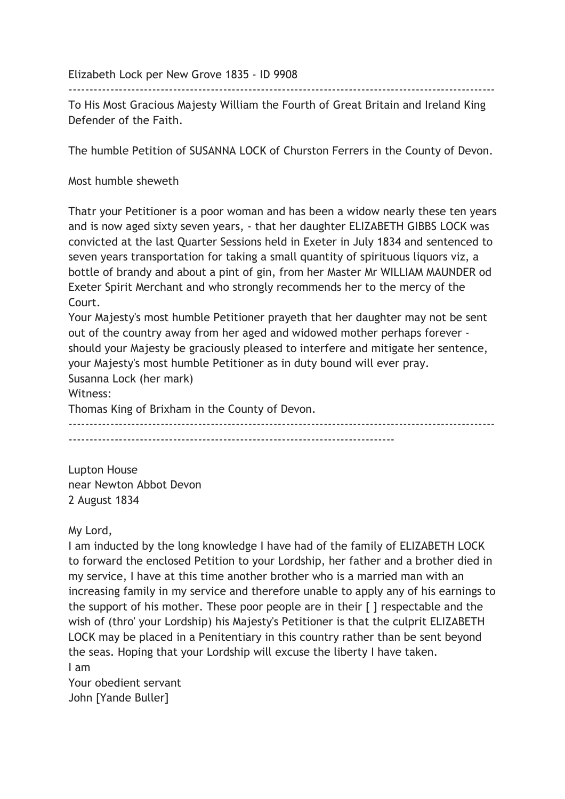Elizabeth Lock per New Grove 1835 - ID 9908

------------------------------------------------------------------------------------------------------ To His Most Gracious Majesty William the Fourth of Great Britain and Ireland King Defender of the Faith.

The humble Petition of SUSANNA LOCK of Churston Ferrers in the County of Devon.

Most humble sheweth

Thatr your Petitioner is a poor woman and has been a widow nearly these ten years and is now aged sixty seven years, - that her daughter ELIZABETH GIBBS LOCK was convicted at the last Quarter Sessions held in Exeter in July 1834 and sentenced to seven years transportation for taking a small quantity of spirituous liquors viz, a bottle of brandy and about a pint of gin, from her Master Mr WILLIAM MAUNDER od Exeter Spirit Merchant and who strongly recommends her to the mercy of the Court.

Your Majesty's most humble Petitioner prayeth that her daughter may not be sent out of the country away from her aged and widowed mother perhaps forever should your Majesty be graciously pleased to interfere and mitigate her sentence, your Majesty's most humble Petitioner as in duty bound will ever pray.

Susanna Lock (her mark)

Witness:

Thomas King of Brixham in the County of Devon.

------------------------------------------------------------------------------------------------------ ------------------------------------------------------------------------------

Lupton House near Newton Abbot Devon 2 August 1834

## My Lord,

I am inducted by the long knowledge I have had of the family of ELIZABETH LOCK to forward the enclosed Petition to your Lordship, her father and a brother died in my service, I have at this time another brother who is a married man with an increasing family in my service and therefore unable to apply any of his earnings to the support of his mother. These poor people are in their [ ] respectable and the wish of (thro' your Lordship) his Majesty's Petitioner is that the culprit ELIZABETH LOCK may be placed in a Penitentiary in this country rather than be sent beyond the seas. Hoping that your Lordship will excuse the liberty I have taken. I am

Your obedient servant John [Yande Buller]